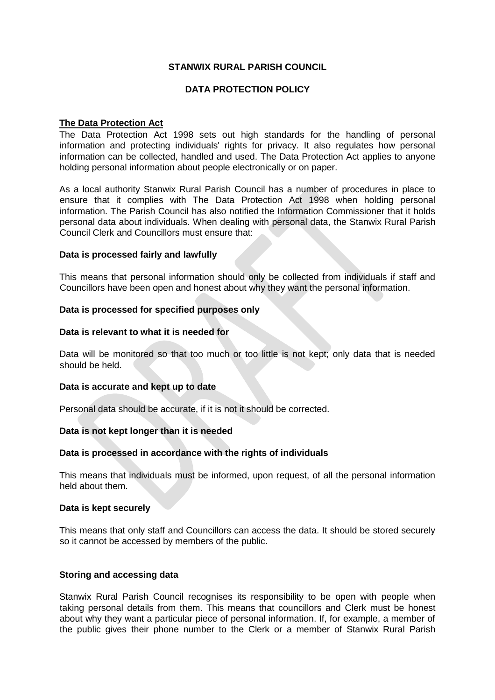# **STANWIX RURAL PARISH COUNCIL**

# **DATA PROTECTION POLICY**

### **The Data Protection Act**

The Data Protection Act 1998 sets out high standards for the handling of personal information and protecting individuals' rights for privacy. It also regulates how personal information can be collected, handled and used. The Data Protection Act applies to anyone holding personal information about people electronically or on paper.

As a local authority Stanwix Rural Parish Council has a number of procedures in place to ensure that it complies with The Data Protection Act 1998 when holding personal information. The Parish Council has also notified the Information Commissioner that it holds personal data about individuals. When dealing with personal data, the Stanwix Rural Parish Council Clerk and Councillors must ensure that:

### **Data is processed fairly and lawfully**

This means that personal information should only be collected from individuals if staff and Councillors have been open and honest about why they want the personal information.

### **Data is processed for specified purposes only**

### **Data is relevant to what it is needed for**

Data will be monitored so that too much or too little is not kept; only data that is needed should be held.

### **Data is accurate and kept up to date**

Personal data should be accurate, if it is not it should be corrected.

### **Data is not kept longer than it is needed**

### **Data is processed in accordance with the rights of individuals**

This means that individuals must be informed, upon request, of all the personal information held about them.

#### **Data is kept securely**

This means that only staff and Councillors can access the data. It should be stored securely so it cannot be accessed by members of the public.

### **Storing and accessing data**

Stanwix Rural Parish Council recognises its responsibility to be open with people when taking personal details from them. This means that councillors and Clerk must be honest about why they want a particular piece of personal information. If, for example, a member of the public gives their phone number to the Clerk or a member of Stanwix Rural Parish